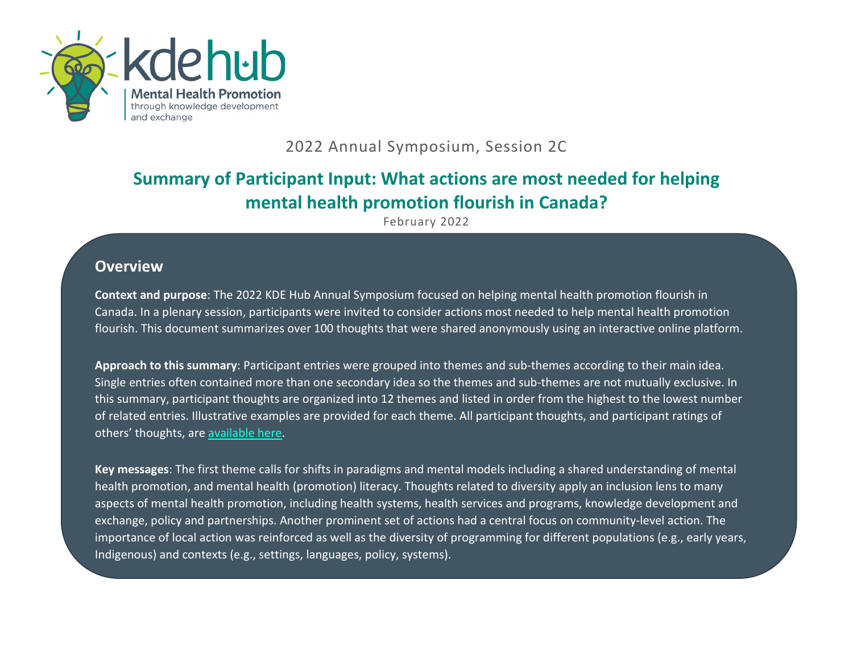

## 2022 Annual Symposium, Session 2C

## **Summary of Participant Input: What actions are most needed for helping mental health promotion flourish in Canada?**

February 2022

## **Overview**

**Context and purpose**: The 2022 KDE Hub Annual Symposium focused on helping mental health promotion flourish in Canada. In a plenary session, participants were invited to consider actions most needed to help mental health promotion flourish. This document summarizes over 100 thoughts that were shared anonymously using an interactive online platform.

**Approach to this summary**: Participant entries were grouped into themes and sub-themes according to their main idea. Single entries often contained more than one secondary idea so the themes and sub-themes are not mutually exclusive. In this summary, participant thoughts are organized into 12 themes and listed in order from the highest to the lowest number of related entries. Illustrative examples are provided for each theme. All participant thoughts, and participant ratings of others' thoughts, are [available here.](https://my.thoughtexchange.com/scroll/487841753/results)

**Key messages**: The first theme calls for shifts in paradigms and mental models including a shared understanding of mental health promotion, and mental health (promotion) literacy. Thoughts related to diversity apply an inclusion lens to many aspects of mental health promotion, including health systems, health services and programs, knowledge development and exchange, policy and partnerships. Another prominent set of actions had a central focus on community-level action. The importance of local action was reinforced as well as the diversity of programming for different populations (e.g., early years, Indigenous) and contexts (e.g., settings, languages, policy, systems).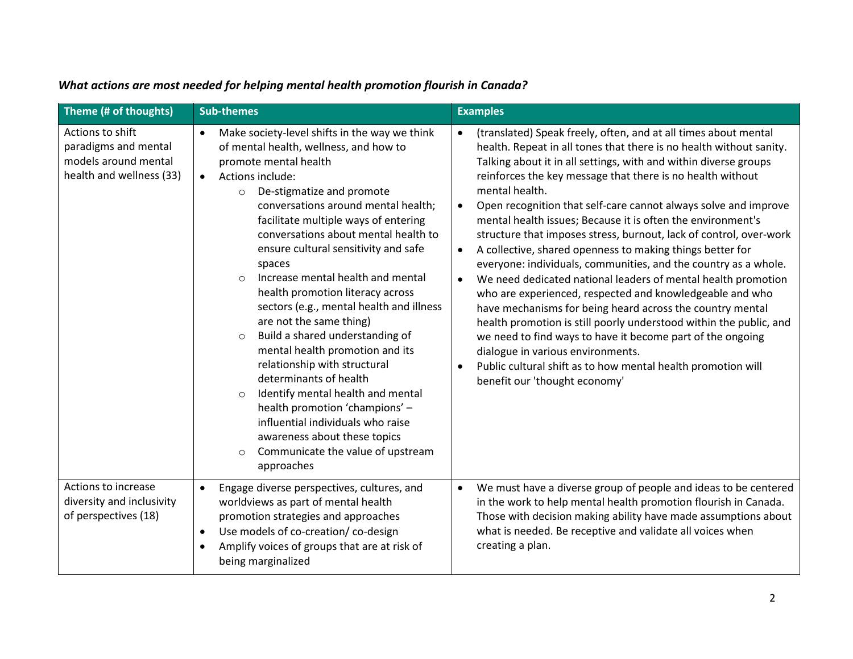| Theme (# of thoughts)                                                                        | <b>Sub-themes</b>                                                                                                                                                                                                                                                                                                                                                                                                                                                                                                                                                                                                                                                                                                                                                                                                                                                                                 | <b>Examples</b>                                                                                                                                                                                                                                                                                                                                                                                                                                                                                                                                                                                                                                                                                                                                                                                                                                                                                                                                                                                                                                                                                                                                            |
|----------------------------------------------------------------------------------------------|---------------------------------------------------------------------------------------------------------------------------------------------------------------------------------------------------------------------------------------------------------------------------------------------------------------------------------------------------------------------------------------------------------------------------------------------------------------------------------------------------------------------------------------------------------------------------------------------------------------------------------------------------------------------------------------------------------------------------------------------------------------------------------------------------------------------------------------------------------------------------------------------------|------------------------------------------------------------------------------------------------------------------------------------------------------------------------------------------------------------------------------------------------------------------------------------------------------------------------------------------------------------------------------------------------------------------------------------------------------------------------------------------------------------------------------------------------------------------------------------------------------------------------------------------------------------------------------------------------------------------------------------------------------------------------------------------------------------------------------------------------------------------------------------------------------------------------------------------------------------------------------------------------------------------------------------------------------------------------------------------------------------------------------------------------------------|
| Actions to shift<br>paradigms and mental<br>models around mental<br>health and wellness (33) | Make society-level shifts in the way we think<br>$\bullet$<br>of mental health, wellness, and how to<br>promote mental health<br>Actions include:<br>$\bullet$<br>De-stigmatize and promote<br>$\circ$<br>conversations around mental health;<br>facilitate multiple ways of entering<br>conversations about mental health to<br>ensure cultural sensitivity and safe<br>spaces<br>Increase mental health and mental<br>$\Omega$<br>health promotion literacy across<br>sectors (e.g., mental health and illness<br>are not the same thing)<br>Build a shared understanding of<br>$\Omega$<br>mental health promotion and its<br>relationship with structural<br>determinants of health<br>Identify mental health and mental<br>health promotion 'champions' -<br>influential individuals who raise<br>awareness about these topics<br>Communicate the value of upstream<br>$\circ$<br>approaches | (translated) Speak freely, often, and at all times about mental<br>$\bullet$<br>health. Repeat in all tones that there is no health without sanity.<br>Talking about it in all settings, with and within diverse groups<br>reinforces the key message that there is no health without<br>mental health.<br>Open recognition that self-care cannot always solve and improve<br>$\bullet$<br>mental health issues; Because it is often the environment's<br>structure that imposes stress, burnout, lack of control, over-work<br>A collective, shared openness to making things better for<br>$\bullet$<br>everyone: individuals, communities, and the country as a whole.<br>We need dedicated national leaders of mental health promotion<br>$\bullet$<br>who are experienced, respected and knowledgeable and who<br>have mechanisms for being heard across the country mental<br>health promotion is still poorly understood within the public, and<br>we need to find ways to have it become part of the ongoing<br>dialogue in various environments.<br>Public cultural shift as to how mental health promotion will<br>benefit our 'thought economy' |
| Actions to increase<br>diversity and inclusivity<br>of perspectives (18)                     | Engage diverse perspectives, cultures, and<br>$\bullet$<br>worldviews as part of mental health<br>promotion strategies and approaches<br>Use models of co-creation/co-design<br>$\bullet$<br>Amplify voices of groups that are at risk of<br>$\bullet$<br>being marginalized                                                                                                                                                                                                                                                                                                                                                                                                                                                                                                                                                                                                                      | We must have a diverse group of people and ideas to be centered<br>$\bullet$<br>in the work to help mental health promotion flourish in Canada.<br>Those with decision making ability have made assumptions about<br>what is needed. Be receptive and validate all voices when<br>creating a plan.                                                                                                                                                                                                                                                                                                                                                                                                                                                                                                                                                                                                                                                                                                                                                                                                                                                         |

## *What actions are most needed for helping mental health promotion flourish in Canada?*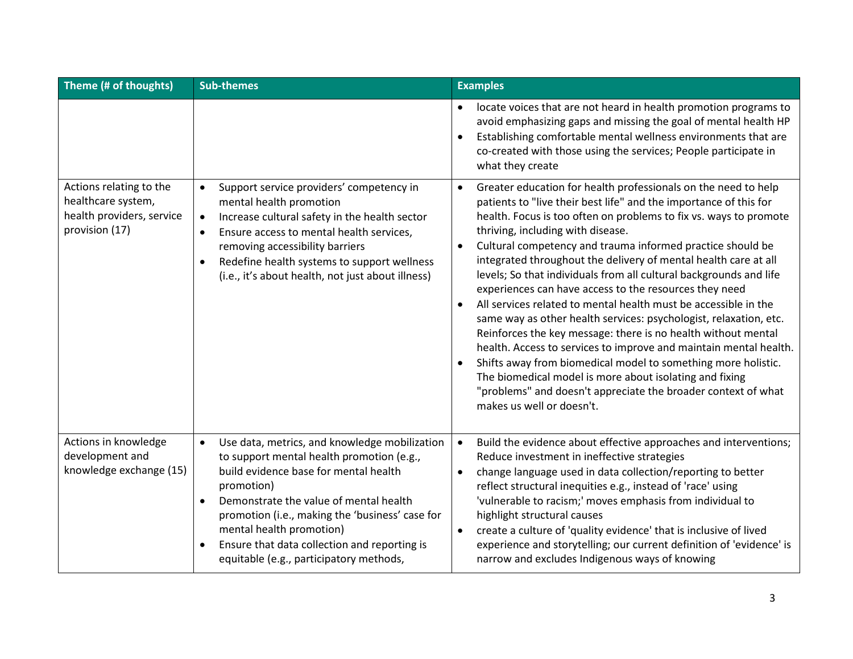| Theme (# of thoughts)                                                                        | <b>Sub-themes</b>                                                                                                                                                                                                                                                                                                                                                                                            | <b>Examples</b>                                                                                                                                                                                                                                                                                                                                                                                                                                                                                                                                                                                                                                                                                                                                                                                                                                                                                                                                                                                                                                               |
|----------------------------------------------------------------------------------------------|--------------------------------------------------------------------------------------------------------------------------------------------------------------------------------------------------------------------------------------------------------------------------------------------------------------------------------------------------------------------------------------------------------------|---------------------------------------------------------------------------------------------------------------------------------------------------------------------------------------------------------------------------------------------------------------------------------------------------------------------------------------------------------------------------------------------------------------------------------------------------------------------------------------------------------------------------------------------------------------------------------------------------------------------------------------------------------------------------------------------------------------------------------------------------------------------------------------------------------------------------------------------------------------------------------------------------------------------------------------------------------------------------------------------------------------------------------------------------------------|
|                                                                                              |                                                                                                                                                                                                                                                                                                                                                                                                              | locate voices that are not heard in health promotion programs to<br>$\bullet$<br>avoid emphasizing gaps and missing the goal of mental health HP<br>Establishing comfortable mental wellness environments that are<br>$\bullet$<br>co-created with those using the services; People participate in<br>what they create                                                                                                                                                                                                                                                                                                                                                                                                                                                                                                                                                                                                                                                                                                                                        |
| Actions relating to the<br>healthcare system,<br>health providers, service<br>provision (17) | Support service providers' competency in<br>$\bullet$<br>mental health promotion<br>Increase cultural safety in the health sector<br>$\bullet$<br>Ensure access to mental health services,<br>$\bullet$<br>removing accessibility barriers<br>Redefine health systems to support wellness<br>$\bullet$<br>(i.e., it's about health, not just about illness)                                                  | Greater education for health professionals on the need to help<br>$\bullet$<br>patients to "live their best life" and the importance of this for<br>health. Focus is too often on problems to fix vs. ways to promote<br>thriving, including with disease.<br>Cultural competency and trauma informed practice should be<br>$\bullet$<br>integrated throughout the delivery of mental health care at all<br>levels; So that individuals from all cultural backgrounds and life<br>experiences can have access to the resources they need<br>All services related to mental health must be accessible in the<br>$\bullet$<br>same way as other health services: psychologist, relaxation, etc.<br>Reinforces the key message: there is no health without mental<br>health. Access to services to improve and maintain mental health.<br>Shifts away from biomedical model to something more holistic.<br>The biomedical model is more about isolating and fixing<br>"problems" and doesn't appreciate the broader context of what<br>makes us well or doesn't. |
| Actions in knowledge<br>development and<br>knowledge exchange (15)                           | Use data, metrics, and knowledge mobilization<br>$\bullet$<br>to support mental health promotion (e.g.,<br>build evidence base for mental health<br>promotion)<br>Demonstrate the value of mental health<br>$\bullet$<br>promotion (i.e., making the 'business' case for<br>mental health promotion)<br>Ensure that data collection and reporting is<br>$\bullet$<br>equitable (e.g., participatory methods, | Build the evidence about effective approaches and interventions;<br>$\bullet$<br>Reduce investment in ineffective strategies<br>change language used in data collection/reporting to better<br>$\bullet$<br>reflect structural inequities e.g., instead of 'race' using<br>'vulnerable to racism;' moves emphasis from individual to<br>highlight structural causes<br>create a culture of 'quality evidence' that is inclusive of lived<br>$\bullet$<br>experience and storytelling; our current definition of 'evidence' is<br>narrow and excludes Indigenous ways of knowing                                                                                                                                                                                                                                                                                                                                                                                                                                                                               |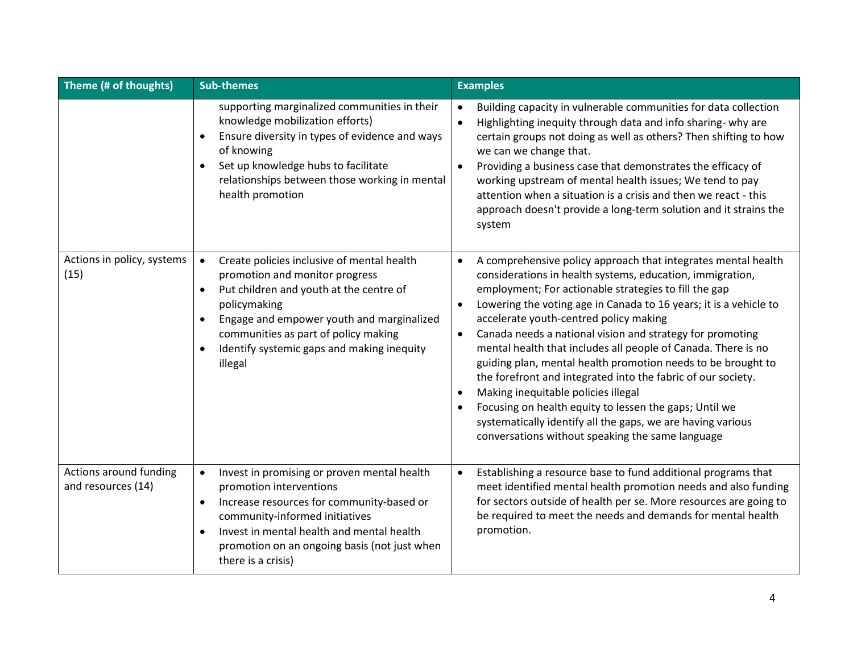| Theme (# of thoughts)                        | <b>Sub-themes</b>                                                                                                                                                                                                                                                                                               | <b>Examples</b>                                                                                                                                                                                                                                                                                                                                                                                                                                                                                                                                                                                                                                                                                                                                                                                                                                       |
|----------------------------------------------|-----------------------------------------------------------------------------------------------------------------------------------------------------------------------------------------------------------------------------------------------------------------------------------------------------------------|-------------------------------------------------------------------------------------------------------------------------------------------------------------------------------------------------------------------------------------------------------------------------------------------------------------------------------------------------------------------------------------------------------------------------------------------------------------------------------------------------------------------------------------------------------------------------------------------------------------------------------------------------------------------------------------------------------------------------------------------------------------------------------------------------------------------------------------------------------|
|                                              | supporting marginalized communities in their<br>knowledge mobilization efforts)<br>Ensure diversity in types of evidence and ways<br>of knowing<br>Set up knowledge hubs to facilitate<br>$\bullet$<br>relationships between those working in mental<br>health promotion                                        | Building capacity in vulnerable communities for data collection<br>$\bullet$<br>Highlighting inequity through data and info sharing- why are<br>$\bullet$<br>certain groups not doing as well as others? Then shifting to how<br>we can we change that.<br>Providing a business case that demonstrates the efficacy of<br>$\bullet$<br>working upstream of mental health issues; We tend to pay<br>attention when a situation is a crisis and then we react - this<br>approach doesn't provide a long-term solution and it strains the<br>system                                                                                                                                                                                                                                                                                                      |
| Actions in policy, systems<br>(15)           | Create policies inclusive of mental health<br>$\bullet$<br>promotion and monitor progress<br>Put children and youth at the centre of<br>$\bullet$<br>policymaking<br>Engage and empower youth and marginalized<br>communities as part of policy making<br>Identify systemic gaps and making inequity<br>illegal | A comprehensive policy approach that integrates mental health<br>$\bullet$<br>considerations in health systems, education, immigration,<br>employment; For actionable strategies to fill the gap<br>Lowering the voting age in Canada to 16 years; it is a vehicle to<br>$\bullet$<br>accelerate youth-centred policy making<br>Canada needs a national vision and strategy for promoting<br>$\bullet$<br>mental health that includes all people of Canada. There is no<br>guiding plan, mental health promotion needs to be brought to<br>the forefront and integrated into the fabric of our society.<br>Making inequitable policies illegal<br>$\bullet$<br>Focusing on health equity to lessen the gaps; Until we<br>$\bullet$<br>systematically identify all the gaps, we are having various<br>conversations without speaking the same language |
| Actions around funding<br>and resources (14) | Invest in promising or proven mental health<br>$\bullet$<br>promotion interventions<br>Increase resources for community-based or<br>$\bullet$<br>community-informed initiatives<br>Invest in mental health and mental health<br>$\bullet$<br>promotion on an ongoing basis (not just when<br>there is a crisis) | Establishing a resource base to fund additional programs that<br>$\bullet$<br>meet identified mental health promotion needs and also funding<br>for sectors outside of health per se. More resources are going to<br>be required to meet the needs and demands for mental health<br>promotion.                                                                                                                                                                                                                                                                                                                                                                                                                                                                                                                                                        |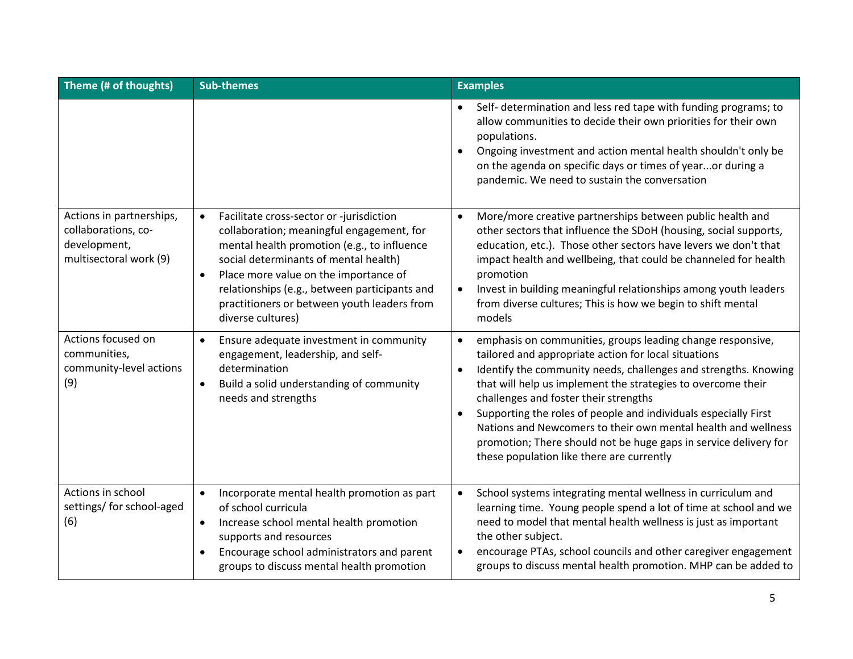| Theme (# of thoughts)                                                                     | <b>Sub-themes</b>                                                                                                                                                                                                                                                                                                                                                     | <b>Examples</b>                                                                                                                                                                                                                                                                                                                                                                                                                                                                                                                                                                            |
|-------------------------------------------------------------------------------------------|-----------------------------------------------------------------------------------------------------------------------------------------------------------------------------------------------------------------------------------------------------------------------------------------------------------------------------------------------------------------------|--------------------------------------------------------------------------------------------------------------------------------------------------------------------------------------------------------------------------------------------------------------------------------------------------------------------------------------------------------------------------------------------------------------------------------------------------------------------------------------------------------------------------------------------------------------------------------------------|
|                                                                                           |                                                                                                                                                                                                                                                                                                                                                                       | Self- determination and less red tape with funding programs; to<br>$\bullet$<br>allow communities to decide their own priorities for their own<br>populations.<br>Ongoing investment and action mental health shouldn't only be<br>$\bullet$<br>on the agenda on specific days or times of yearor during a<br>pandemic. We need to sustain the conversation                                                                                                                                                                                                                                |
| Actions in partnerships,<br>collaborations, co-<br>development,<br>multisectoral work (9) | Facilitate cross-sector or -jurisdiction<br>$\bullet$<br>collaboration; meaningful engagement, for<br>mental health promotion (e.g., to influence<br>social determinants of mental health)<br>Place more value on the importance of<br>$\bullet$<br>relationships (e.g., between participants and<br>practitioners or between youth leaders from<br>diverse cultures) | More/more creative partnerships between public health and<br>$\bullet$<br>other sectors that influence the SDoH (housing, social supports,<br>education, etc.). Those other sectors have levers we don't that<br>impact health and wellbeing, that could be channeled for health<br>promotion<br>Invest in building meaningful relationships among youth leaders<br>$\bullet$<br>from diverse cultures; This is how we begin to shift mental<br>models                                                                                                                                     |
| Actions focused on<br>communities,<br>community-level actions<br>(9)                      | Ensure adequate investment in community<br>$\bullet$<br>engagement, leadership, and self-<br>determination<br>Build a solid understanding of community<br>$\bullet$<br>needs and strengths                                                                                                                                                                            | emphasis on communities, groups leading change responsive,<br>$\bullet$<br>tailored and appropriate action for local situations<br>Identify the community needs, challenges and strengths. Knowing<br>$\bullet$<br>that will help us implement the strategies to overcome their<br>challenges and foster their strengths<br>Supporting the roles of people and individuals especially First<br>$\bullet$<br>Nations and Newcomers to their own mental health and wellness<br>promotion; There should not be huge gaps in service delivery for<br>these population like there are currently |
| Actions in school<br>settings/ for school-aged<br>(6)                                     | Incorporate mental health promotion as part<br>$\bullet$<br>of school curricula<br>Increase school mental health promotion<br>$\bullet$<br>supports and resources<br>Encourage school administrators and parent<br>groups to discuss mental health promotion                                                                                                          | School systems integrating mental wellness in curriculum and<br>$\bullet$<br>learning time. Young people spend a lot of time at school and we<br>need to model that mental health wellness is just as important<br>the other subject.<br>encourage PTAs, school councils and other caregiver engagement<br>$\bullet$<br>groups to discuss mental health promotion. MHP can be added to                                                                                                                                                                                                     |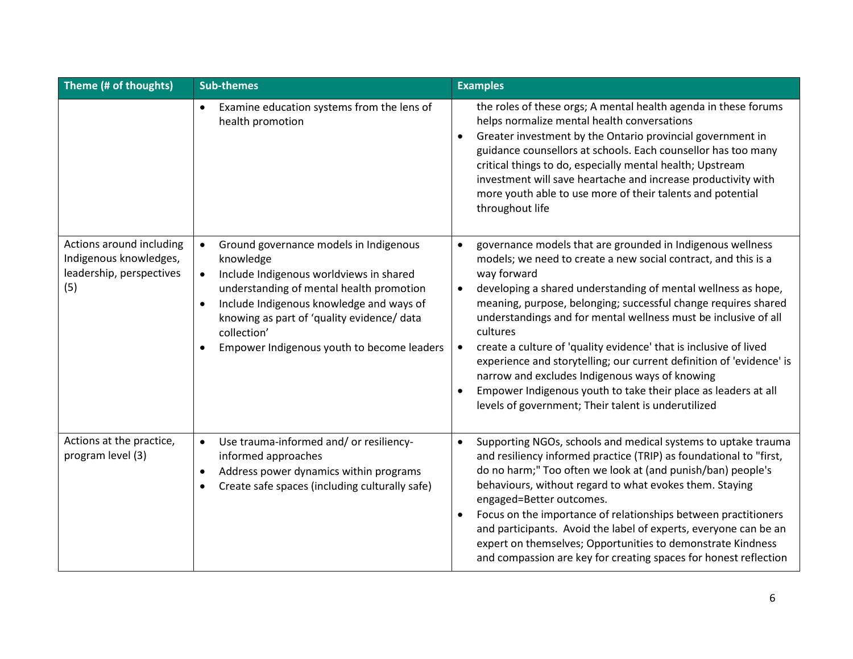| Theme (# of thoughts)                                                                 | <b>Sub-themes</b>                                                                                                                                                                                                                                                                                                                        | <b>Examples</b>                                                                                                                                                                                                                                                                                                                                                                                                                                                                                                                                                                                                                                                                                                                           |
|---------------------------------------------------------------------------------------|------------------------------------------------------------------------------------------------------------------------------------------------------------------------------------------------------------------------------------------------------------------------------------------------------------------------------------------|-------------------------------------------------------------------------------------------------------------------------------------------------------------------------------------------------------------------------------------------------------------------------------------------------------------------------------------------------------------------------------------------------------------------------------------------------------------------------------------------------------------------------------------------------------------------------------------------------------------------------------------------------------------------------------------------------------------------------------------------|
|                                                                                       | Examine education systems from the lens of<br>$\bullet$<br>health promotion                                                                                                                                                                                                                                                              | the roles of these orgs; A mental health agenda in these forums<br>helps normalize mental health conversations<br>Greater investment by the Ontario provincial government in<br>$\bullet$<br>guidance counsellors at schools. Each counsellor has too many<br>critical things to do, especially mental health; Upstream<br>investment will save heartache and increase productivity with<br>more youth able to use more of their talents and potential<br>throughout life                                                                                                                                                                                                                                                                 |
| Actions around including<br>Indigenous knowledges,<br>leadership, perspectives<br>(5) | Ground governance models in Indigenous<br>$\bullet$<br>knowledge<br>Include Indigenous worldviews in shared<br>$\bullet$<br>understanding of mental health promotion<br>Include Indigenous knowledge and ways of<br>$\bullet$<br>knowing as part of 'quality evidence/ data<br>collection'<br>Empower Indigenous youth to become leaders | governance models that are grounded in Indigenous wellness<br>$\bullet$<br>models; we need to create a new social contract, and this is a<br>way forward<br>developing a shared understanding of mental wellness as hope,<br>$\bullet$<br>meaning, purpose, belonging; successful change requires shared<br>understandings and for mental wellness must be inclusive of all<br>cultures<br>create a culture of 'quality evidence' that is inclusive of lived<br>$\bullet$<br>experience and storytelling; our current definition of 'evidence' is<br>narrow and excludes Indigenous ways of knowing<br>Empower Indigenous youth to take their place as leaders at all<br>$\bullet$<br>levels of government; Their talent is underutilized |
| Actions at the practice,<br>program level (3)                                         | Use trauma-informed and/ or resiliency-<br>$\bullet$<br>informed approaches<br>Address power dynamics within programs<br>$\bullet$<br>Create safe spaces (including culturally safe)<br>$\bullet$                                                                                                                                        | Supporting NGOs, schools and medical systems to uptake trauma<br>$\bullet$<br>and resiliency informed practice (TRIP) as foundational to "first,<br>do no harm;" Too often we look at (and punish/ban) people's<br>behaviours, without regard to what evokes them. Staying<br>engaged=Better outcomes.<br>Focus on the importance of relationships between practitioners<br>$\bullet$<br>and participants. Avoid the label of experts, everyone can be an<br>expert on themselves; Opportunities to demonstrate Kindness<br>and compassion are key for creating spaces for honest reflection                                                                                                                                              |